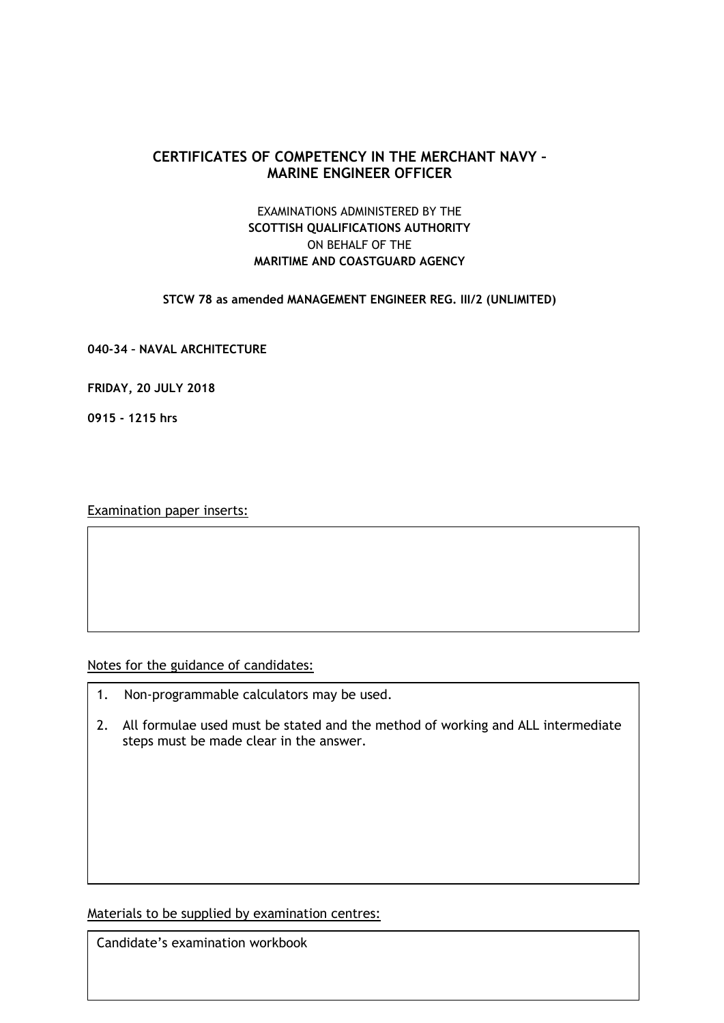# **CERTIFICATES OF COMPETENCY IN THE MERCHANT NAVY – MARINE ENGINEER OFFICER**

# EXAMINATIONS ADMINISTERED BY THE **SCOTTISH QUALIFICATIONS AUTHORITY** ON BEHALF OF THE **MARITIME AND COASTGUARD AGENCY**

**STCW 78 as amended MANAGEMENT ENGINEER REG. III/2 (UNLIMITED)**

**040-34 – NAVAL ARCHITECTURE** 

**FRIDAY, 20 JULY 2018**

**0915 - 1215 hrs**

Examination paper inserts:

Notes for the guidance of candidates:

- 1. Non-programmable calculators may be used.
- 2. All formulae used must be stated and the method of working and ALL intermediate steps must be made clear in the answer.

Materials to be supplied by examination centres:

Candidate's examination workbook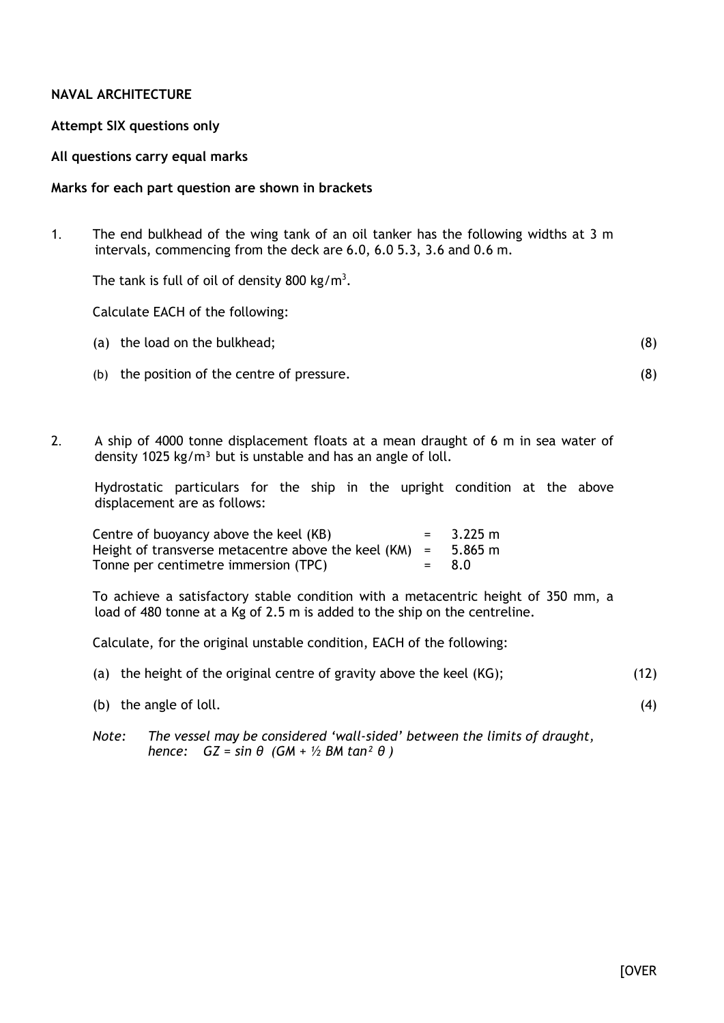## **NAVAL ARCHITECTURE**

### **Attempt SIX questions only**

### **All questions carry equal marks**

### **Marks for each part question are shown in brackets**

1. The end bulkhead of the wing tank of an oil tanker has the following widths at 3 m intervals, commencing from the deck are 6.0, 6.0 5.3, 3.6 and 0.6 m.

The tank is full of oil of density 800 kg/m<sup>3</sup>.

Calculate EACH of the following:

|  | (a) the load on the bulkhead; |  |
|--|-------------------------------|--|
|--|-------------------------------|--|

- (b) the position of the centre of pressure.
- 2. A ship of 4000 tonne displacement floats at a mean draught of 6 m in sea water of density 1025 kg/m<sup>3</sup> but is unstable and has an angle of loll.

Hydrostatic particulars for the ship in the upright condition at the above displacement are as follows:

| Centre of buoyancy above the keel (KB)                          | $= 3.225 \text{ m}$ |
|-----------------------------------------------------------------|---------------------|
| Height of transverse metacentre above the keel $(KM)$ = 5.865 m |                     |
| Tonne per centimetre immersion (TPC)                            | $= 8.0$             |

To achieve a satisfactory stable condition with a metacentric height of 350 mm, a load of 480 tonne at a Kg of 2.5 m is added to the ship on the centreline.

Calculate, for the original unstable condition, EACH of the following:

|  |  |  | (a) the height of the original centre of gravity above the keel $(KG)$ ; |  | (12) |
|--|--|--|--------------------------------------------------------------------------|--|------|
|--|--|--|--------------------------------------------------------------------------|--|------|

- (b) the angle of loll.
- *Note: The vessel may be considered 'wall-sided' between the limits of draught, hence: GZ = sin θ (GM + ½ BM tan² θ )*

(4)

(8)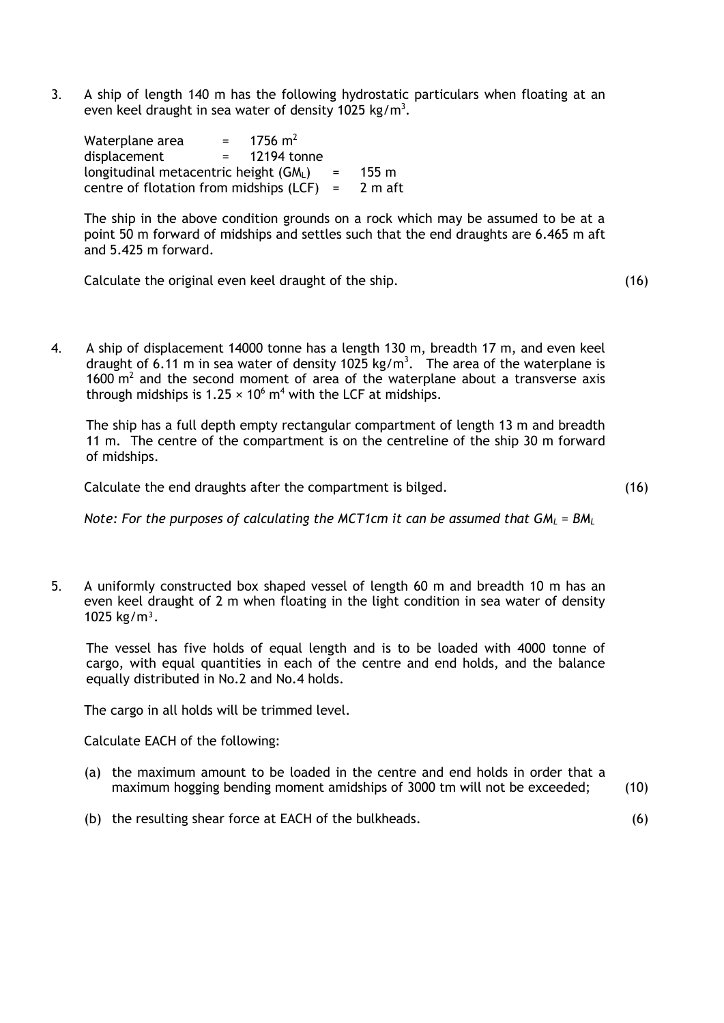3. A ship of length 140 m has the following hydrostatic particulars when floating at an even keel draught in sea water of density 1025 kg/m<sup>3</sup>.

| Waterplane area                             |  | $= 1756 \text{ m}^2$ |              |                 |
|---------------------------------------------|--|----------------------|--------------|-----------------|
| displacement                                |  | $= 12194$ tonne      |              |                 |
| longitudinal metacentric height (GML)       |  |                      | $\alpha = 1$ | $155 \text{ m}$ |
| centre of flotation from midships $(LCF) =$ |  |                      |              | 2 m aft         |

The ship in the above condition grounds on a rock which may be assumed to be at a point 50 m forward of midships and settles such that the end draughts are 6.465 m aft and 5.425 m forward.

Calculate the original even keel draught of the ship. (16)

4. A ship of displacement 14000 tonne has a length 130 m, breadth 17 m, and even keel draught of 6.11 m in sea water of density 1025 kg/m<sup>3</sup>. The area of the waterplane is 1600  $\mathrm{m}^2$  and the second moment of area of the waterplane about a transverse axis through midships is  $1.25 \times 10^6$  m<sup>4</sup> with the LCF at midships.

The ship has a full depth empty rectangular compartment of length 13 m and breadth 11 m. The centre of the compartment is on the centreline of the ship 30 m forward of midships.

Calculate the end draughts after the compartment is bilged.

(16)

(6)

*Note: For the purposes of calculating the MCT1cm it can be assumed that GM<sup>L</sup> = BM<sup>L</sup>*

5. A uniformly constructed box shaped vessel of length 60 m and breadth 10 m has an even keel draught of 2 m when floating in the light condition in sea water of density 1025 kg/m<sup>3</sup>.

The vessel has five holds of equal length and is to be loaded with 4000 tonne of cargo, with equal quantities in each of the centre and end holds, and the balance equally distributed in No.2 and No.4 holds.

The cargo in all holds will be trimmed level.

Calculate EACH of the following:

- (a) the maximum amount to be loaded in the centre and end holds in order that a maximum hogging bending moment amidships of 3000 tm will not be exceeded; (10)
- (b) the resulting shear force at EACH of the bulkheads.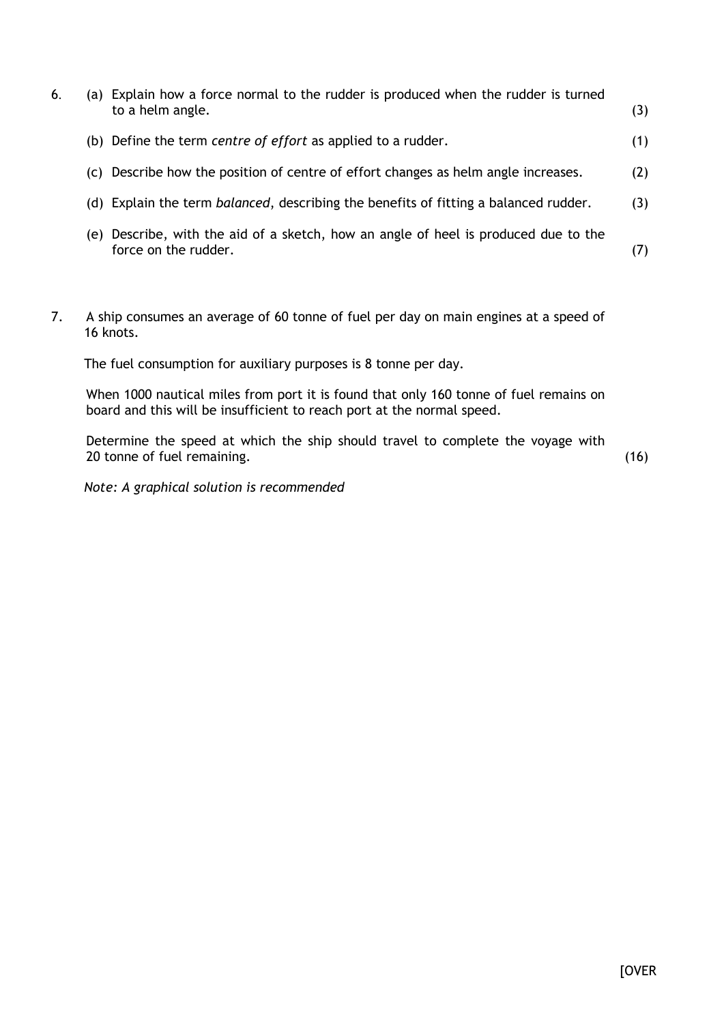| 6. |     | (a) Explain how a force normal to the rudder is produced when the rudder is turned<br>to a helm angle.  | (3) |
|----|-----|---------------------------------------------------------------------------------------------------------|-----|
|    |     | (b) Define the term centre of effort as applied to a rudder.                                            | (1) |
|    |     | (c) Describe how the position of centre of effort changes as helm angle increases.                      | (2) |
|    |     | (d) Explain the term <i>balanced</i> , describing the benefits of fitting a balanced rudder.            | (3) |
|    | (e) | Describe, with the aid of a sketch, how an angle of heel is produced due to the<br>force on the rudder. | (7) |

7. A ship consumes an average of 60 tonne of fuel per day on main engines at a speed of 16 knots.

The fuel consumption for auxiliary purposes is 8 tonne per day.

When 1000 nautical miles from port it is found that only 160 tonne of fuel remains on board and this will be insufficient to reach port at the normal speed.

Determine the speed at which the ship should travel to complete the voyage with 20 tonne of fuel remaining.

(16)

*Note: A graphical solution is recommended*